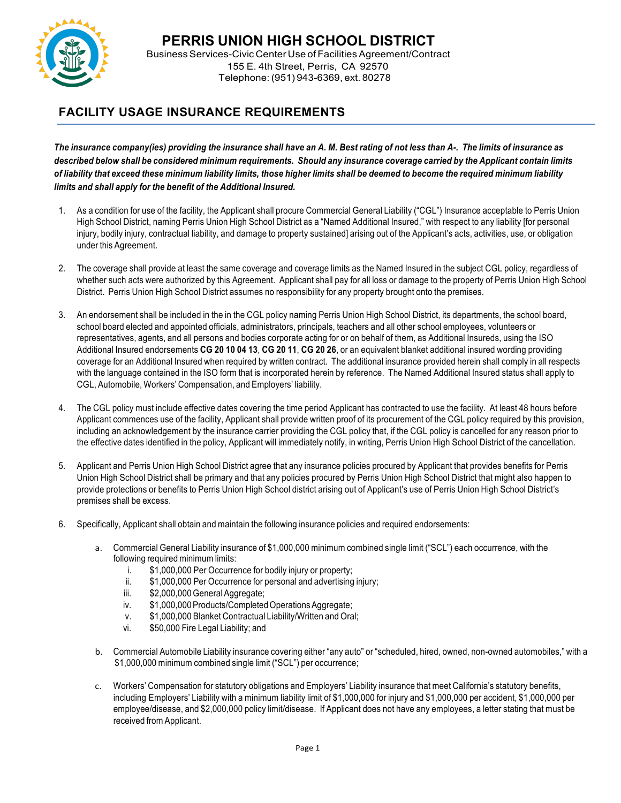

**PERRIS UNION HIGH SCHOOL DISTRICT** Business Services-Civic Center Use of Facilities Agreement/Contract 155 E. 4th Street, Perris, CA 92570 Telephone: (951) 943-6369, ext. 80278

## **FACILITY USAGE INSURANCE REQUIREMENTS**

The insurance company(ies) providing the insurance shall have an A. M. Best rating of not less than A-. The limits of insurance as described below shall be considered minimum requirements. Should any insurance coverage carried by the Applicant contain limits of liability that exceed these minimum liability limits, those higher limits shall be deemed to become the required minimum liability *limits and shall apply for the benefit of the Additional Insured.*

- 1. As a condition for use of the facility, the Applicant shall procure Commercial General Liability ("CGL") Insurance acceptable to Perris Union High School District, naming Perris Union High School District as a "Named Additional Insured," with respect to any liability [for personal injury, bodily injury, contractual liability, and damage to property sustained] arising out of the Applicant's acts, activities, use, or obligation under this Agreement.
- 2. The coverage shall provide at least the same coverage and coverage limits as the Named Insured in the subject CGL policy, regardless of whether such acts were authorized by this Agreement. Applicant shall pay for all loss or damage to the property of Perris Union High School District. Perris Union High School District assumes no responsibility for any property brought onto the premises.
- 3. An endorsement shall be included in the in the CGL policy naming Perris Union High School District, its departments, the school board, school board elected and appointed officials, administrators, principals, teachers and all other school employees, volunteers or representatives, agents, and all persons and bodies corporate acting for or on behalf of them, as Additional Insureds, using the ISO Additional Insured endorsements **CG 20 10 04 13**, **CG 20 11**, **CG 20 26**, or an equivalent blanket additional insured wording providing coverage for an Additional Insured when required by written contract. The additional insurance provided herein shall comply in all respects with the language contained in the ISO form that is incorporated herein by reference. The Named Additional Insured status shall apply to CGL, Automobile, Workers' Compensation, and Employers' liability.
- 4. The CGL policy must include effective dates covering the time period Applicant has contracted to use the facility. At least 48 hours before Applicant commences use of the facility, Applicant shall provide written proof of its procurement of the CGL policy required by this provision, including an acknowledgement by the insurance carrier providing the CGL policy that, if the CGL policy is cancelled for any reason prior to the effective dates identified in the policy, Applicant will immediately notify, in writing, Perris Union High School District of the cancellation.
- 5. Applicant and Perris Union High School District agree that any insurance policies procured by Applicant that provides benefits for Perris Union High School District shall be primary and that any policies procured by Perris Union High School District that might also happen to provide protections or benefits to Perris Union High School district arising out of Applicant's use of Perris Union High School District's premises shall be excess.
- 6. Specifically, Applicant shall obtain and maintain the following insurance policies and required endorsements:
	- a. Commercial General Liability insurance of \$1,000,000 minimum combined single limit ("SCL") each occurrence, with the following required minimum limits:
		- i. \$1,000,000 Per Occurrence for bodily injury or property;
		- ii. \$1,000,000 Per Occurrence for personal and advertising injury;
		- iii. \$2,000,000 General Aggregate;
		- iv.  $$1,000,000$  Products/Completed Operations Aggregate;
		- v. \$1,000,000 Blanket Contractual Liability/Written and Oral;
		- vi. \$50,000 Fire Legal Liability; and
	- b. Commercial Automobile Liability insurance covering either "any auto" or "scheduled, hired, owned, non-owned automobiles," with a \$1,000,000 minimum combined single limit ("SCL") per occurrence;
	- c. Workers' Compensation for statutory obligations and Employers' Liability insurance that meet California's statutory benefits, including Employers' Liability with a minimum liability limit of \$1,000,000 for injury and \$1,000,000 per accident, \$1,000,000 per employee/disease, and \$2,000,000 policy limit/disease. If Applicant does not have any employees, a letter stating that must be received from Applicant.